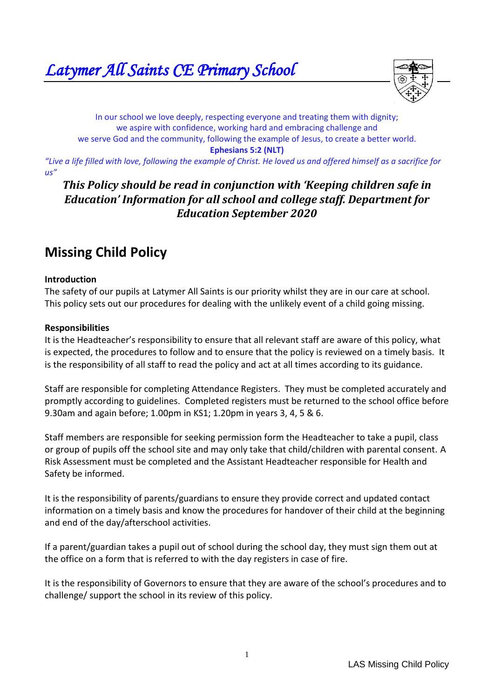

In our school we love deeply, respecting everyone and treating them with dignity; we aspire with confidence, working hard and embracing challenge and we serve God and the community, following the example of Jesus, to create a better world. **Ephesians 5:2 (NLT)**

*"Live a life filled with love, following the example of Christ. He loved us and offered himself as a sacrifice for us"*

# *This Policy should be read in conjunction with 'Keeping children safe in Education' Information for all school and college staff. Department for Education September 2020*

# **Missing Child Policy**

#### **Introduction**

The safety of our pupils at Latymer All Saints is our priority whilst they are in our care at school. This policy sets out our procedures for dealing with the unlikely event of a child going missing.

#### **Responsibilities**

It is the Headteacher's responsibility to ensure that all relevant staff are aware of this policy, what is expected, the procedures to follow and to ensure that the policy is reviewed on a timely basis. It is the responsibility of all staff to read the policy and act at all times according to its guidance.

Staff are responsible for completing Attendance Registers. They must be completed accurately and promptly according to guidelines. Completed registers must be returned to the school office before 9.30am and again before; 1.00pm in KS1; 1.20pm in years 3, 4, 5 & 6.

Staff members are responsible for seeking permission form the Headteacher to take a pupil, class or group of pupils off the school site and may only take that child/children with parental consent. A Risk Assessment must be completed and the Assistant Headteacher responsible for Health and Safety be informed.

It is the responsibility of parents/guardians to ensure they provide correct and updated contact information on a timely basis and know the procedures for handover of their child at the beginning and end of the day/afterschool activities.

If a parent/guardian takes a pupil out of school during the school day, they must sign them out at the office on a form that is referred to with the day registers in case of fire.

It is the responsibility of Governors to ensure that they are aware of the school's procedures and to challenge/ support the school in its review of this policy.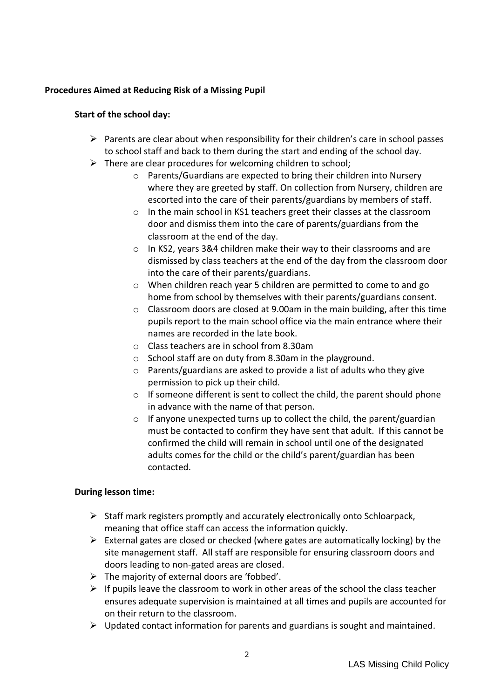# **Procedures Aimed at Reducing Risk of a Missing Pupil**

# **Start of the school day:**

- $\triangleright$  Parents are clear about when responsibility for their children's care in school passes to school staff and back to them during the start and ending of the school day.
- $\triangleright$  There are clear procedures for welcoming children to school;
	- o Parents/Guardians are expected to bring their children into Nursery where they are greeted by staff. On collection from Nursery, children are escorted into the care of their parents/guardians by members of staff.
	- o In the main school in KS1 teachers greet their classes at the classroom door and dismiss them into the care of parents/guardians from the classroom at the end of the day.
	- o In KS2, years 3&4 children make their way to their classrooms and are dismissed by class teachers at the end of the day from the classroom door into the care of their parents/guardians.
	- o When children reach year 5 children are permitted to come to and go home from school by themselves with their parents/guardians consent.
	- $\circ$  Classroom doors are closed at 9.00am in the main building, after this time pupils report to the main school office via the main entrance where their names are recorded in the late book.
	- o Class teachers are in school from 8.30am
	- o School staff are on duty from 8.30am in the playground.
	- o Parents/guardians are asked to provide a list of adults who they give permission to pick up their child.
	- o If someone different is sent to collect the child, the parent should phone in advance with the name of that person.
	- $\circ$  If anyone unexpected turns up to collect the child, the parent/guardian must be contacted to confirm they have sent that adult. If this cannot be confirmed the child will remain in school until one of the designated adults comes for the child or the child's parent/guardian has been contacted.

#### **During lesson time:**

- $\triangleright$  Staff mark registers promptly and accurately electronically onto Schloarpack, meaning that office staff can access the information quickly.
- $\triangleright$  External gates are closed or checked (where gates are automatically locking) by the site management staff. All staff are responsible for ensuring classroom doors and doors leading to non-gated areas are closed.
- $\triangleright$  The majority of external doors are 'fobbed'.
- $\triangleright$  If pupils leave the classroom to work in other areas of the school the class teacher ensures adequate supervision is maintained at all times and pupils are accounted for on their return to the classroom.
- $\triangleright$  Updated contact information for parents and guardians is sought and maintained.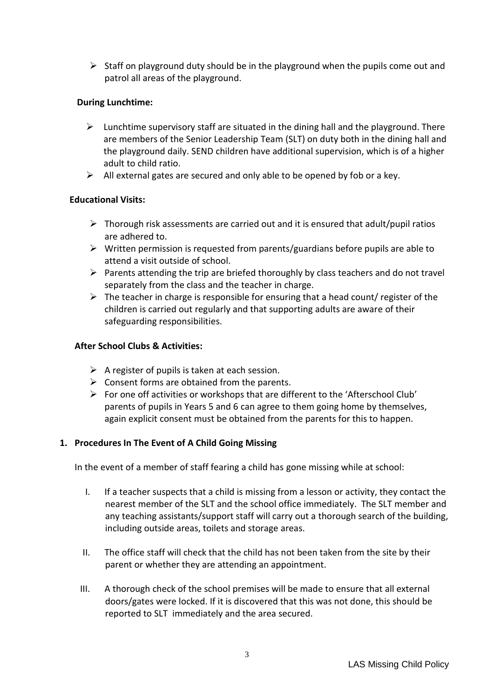$\triangleright$  Staff on playground duty should be in the playground when the pupils come out and patrol all areas of the playground.

# **During Lunchtime:**

- $\triangleright$  Lunchtime supervisory staff are situated in the dining hall and the playground. There are members of the Senior Leadership Team (SLT) on duty both in the dining hall and the playground daily. SEND children have additional supervision, which is of a higher adult to child ratio.
- $\triangleright$  All external gates are secured and only able to be opened by fob or a key.

#### **Educational Visits:**

- $\triangleright$  Thorough risk assessments are carried out and it is ensured that adult/pupil ratios are adhered to.
- $\triangleright$  Written permission is requested from parents/guardians before pupils are able to attend a visit outside of school.
- $\triangleright$  Parents attending the trip are briefed thoroughly by class teachers and do not travel separately from the class and the teacher in charge.
- $\triangleright$  The teacher in charge is responsible for ensuring that a head count/ register of the children is carried out regularly and that supporting adults are aware of their safeguarding responsibilities.

# **After School Clubs & Activities:**

- $\triangleright$  A register of pupils is taken at each session.
- $\triangleright$  Consent forms are obtained from the parents.
- For one off activities or workshops that are different to the 'Afterschool Club' parents of pupils in Years 5 and 6 can agree to them going home by themselves, again explicit consent must be obtained from the parents for this to happen.

# **1. Procedures In The Event of A Child Going Missing**

In the event of a member of staff fearing a child has gone missing while at school:

- I. If a teacher suspects that a child is missing from a lesson or activity, they contact the nearest member of the SLT and the school office immediately. The SLT member and any teaching assistants/support staff will carry out a thorough search of the building, including outside areas, toilets and storage areas.
- II. The office staff will check that the child has not been taken from the site by their parent or whether they are attending an appointment.
- III. A thorough check of the school premises will be made to ensure that all external doors/gates were locked. If it is discovered that this was not done, this should be reported to SLT immediately and the area secured.